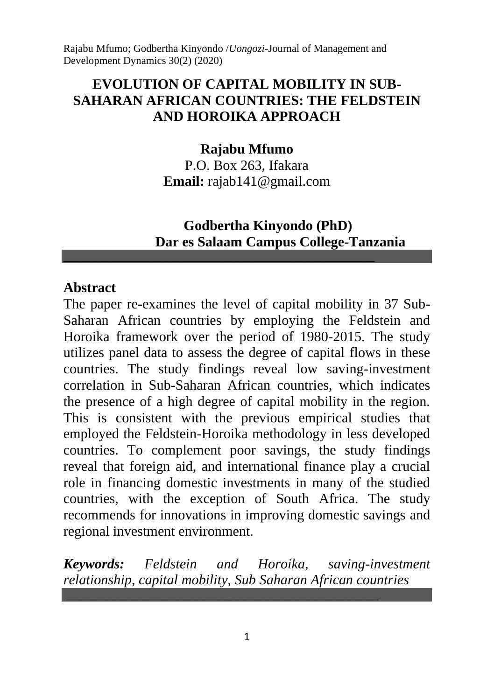## **EVOLUTION OF CAPITAL MOBILITY IN SUB-SAHARAN AFRICAN COUNTRIES: THE FELDSTEIN AND HOROIKA APPROACH**

### **Rajabu Mfumo**

P.O. Box 263, Ifakara **Email:** rajab141@gmail.com

## **Godbertha Kinyondo (PhD) Dar es Salaam Campus College-Tanzania**

#### **Abstract**

The paper re-examines the level of capital mobility in 37 Sub-Saharan African countries by employing the Feldstein and Horoika framework over the period of 1980-2015. The study utilizes panel data to assess the degree of capital flows in these countries. The study findings reveal low saving-investment correlation in Sub-Saharan African countries, which indicates the presence of a high degree of capital mobility in the region. This is consistent with the previous empirical studies that employed the Feldstein-Horoika methodology in less developed countries. To complement poor savings, the study findings reveal that foreign aid, and international finance play a crucial role in financing domestic investments in many of the studied countries, with the exception of South Africa. The study recommends for innovations in improving domestic savings and regional investment environment.

*Keywords: Feldstein and Horoika, saving-investment relationship, capital mobility, Sub Saharan African countries*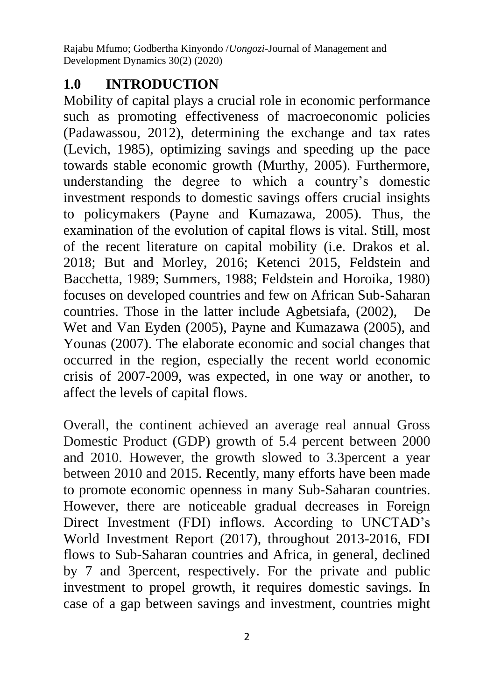# **1.0 INTRODUCTION**

Mobility of capital plays a crucial role in economic performance such as promoting effectiveness of macroeconomic policies (Padawassou, 2012), determining the exchange and tax rates (Levich, 1985), optimizing savings and speeding up the pace towards stable economic growth (Murthy, 2005). Furthermore, understanding the degree to which a country's domestic investment responds to domestic savings offers crucial insights to policymakers (Payne and Kumazawa, 2005). Thus, the examination of the evolution of capital flows is vital. Still, most of the recent literature on capital mobility (i.e. Drakos et al. 2018; But and Morley, 2016; Ketenci 2015, Feldstein and Bacchetta, 1989; Summers, 1988; Feldstein and Horoika, 1980) focuses on developed countries and few on African Sub-Saharan countries. Those in the latter include Agbetsiafa, (2002), De Wet and Van Eyden (2005), Payne and Kumazawa (2005), and Younas (2007). The elaborate economic and social changes that occurred in the region, especially the recent world economic crisis of 2007-2009, was expected, in one way or another, to affect the levels of capital flows.

Overall, the continent achieved an average real annual Gross Domestic Product (GDP) growth of 5.4 percent between 2000 and 2010. However, the growth slowed to 3.3percent a year between 2010 and 2015. Recently, many efforts have been made to promote economic openness in many Sub-Saharan countries. However, there are noticeable gradual decreases in Foreign Direct Investment (FDI) inflows. According to UNCTAD's World Investment Report (2017), throughout 2013-2016, FDI flows to Sub-Saharan countries and Africa, in general, declined by 7 and 3percent, respectively. For the private and public investment to propel growth, it requires domestic savings. In case of a gap between savings and investment, countries might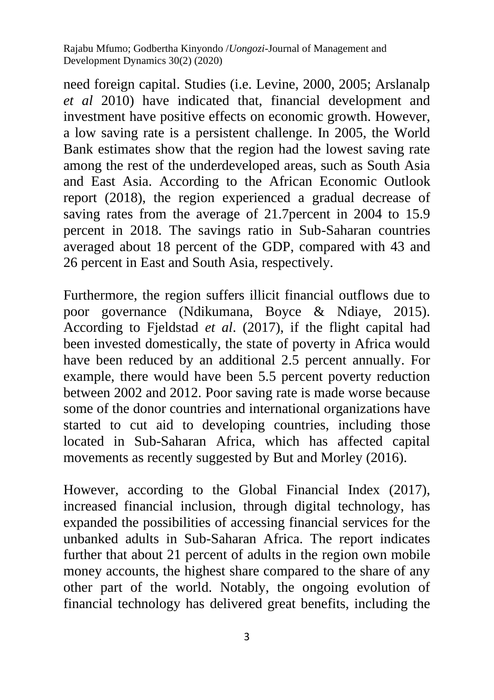need foreign capital. Studies (i.e. Levine, 2000, 2005; Arslanalp *et al* 2010) have indicated that, financial development and investment have positive effects on economic growth. However, a low saving rate is a persistent challenge. In 2005, the World Bank estimates show that the region had the lowest saving rate among the rest of the underdeveloped areas, such as South Asia and East Asia. According to the African Economic Outlook report (2018), the region experienced a gradual decrease of saving rates from the average of 21.7 percent in 2004 to 15.9 percent in 2018. The savings ratio in Sub-Saharan countries averaged about 18 percent of the GDP, compared with 43 and 26 percent in East and South Asia, respectively.

Furthermore, the region suffers illicit financial outflows due to poor governance (Ndikumana, Boyce & Ndiaye, 2015). According to Fjeldstad *et al*. (2017), if the flight capital had been invested domestically, the state of poverty in Africa would have been reduced by an additional 2.5 percent annually. For example, there would have been 5.5 percent poverty reduction between 2002 and 2012. Poor saving rate is made worse because some of the donor countries and international organizations have started to cut aid to developing countries, including those located in Sub-Saharan Africa, which has affected capital movements as recently suggested by But and Morley (2016).

However, according to the Global Financial Index (2017), increased financial inclusion, through digital technology, has expanded the possibilities of accessing financial services for the unbanked adults in Sub-Saharan Africa. The report indicates further that about 21 percent of adults in the region own mobile money accounts, the highest share compared to the share of any other part of the world. Notably, the ongoing evolution of financial technology has delivered great benefits, including the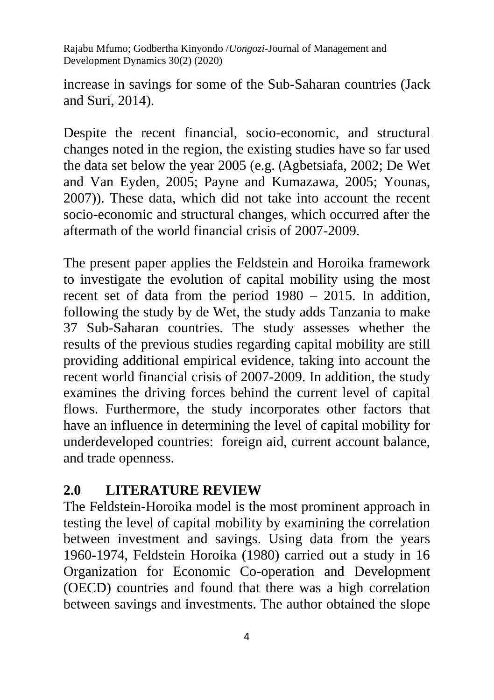increase in savings for some of the Sub-Saharan countries (Jack and Suri, 2014).

Despite the recent financial, socio-economic, and structural changes noted in the region, the existing studies have so far used the data set below the year 2005 (e.g. (Agbetsiafa, 2002; De Wet and Van Eyden, 2005; Payne and Kumazawa, 2005; Younas, 2007)). These data, which did not take into account the recent socio-economic and structural changes, which occurred after the aftermath of the world financial crisis of 2007-2009.

The present paper applies the Feldstein and Horoika framework to investigate the evolution of capital mobility using the most recent set of data from the period 1980 – 2015. In addition, following the study by de Wet, the study adds Tanzania to make 37 Sub-Saharan countries. The study assesses whether the results of the previous studies regarding capital mobility are still providing additional empirical evidence, taking into account the recent world financial crisis of 2007-2009. In addition, the study examines the driving forces behind the current level of capital flows. Furthermore, the study incorporates other factors that have an influence in determining the level of capital mobility for underdeveloped countries: foreign aid, current account balance, and trade openness.

## **2.0 LITERATURE REVIEW**

The Feldstein-Horoika model is the most prominent approach in testing the level of capital mobility by examining the correlation between investment and savings. Using data from the years 1960-1974, Feldstein Horoika (1980) carried out a study in 16 Organization for Economic Co-operation and Development (OECD) countries and found that there was a high correlation between savings and investments. The author obtained the slope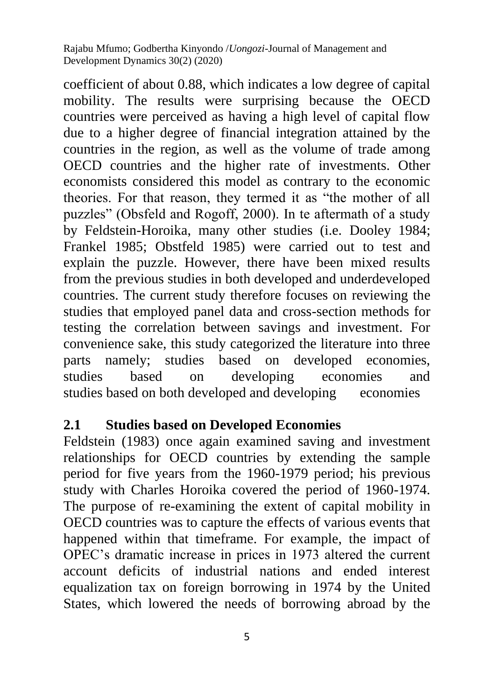coefficient of about 0.88, which indicates a low degree of capital mobility. The results were surprising because the OECD countries were perceived as having a high level of capital flow due to a higher degree of financial integration attained by the countries in the region, as well as the volume of trade among OECD countries and the higher rate of investments. Other economists considered this model as contrary to the economic theories. For that reason, they termed it as "the mother of all puzzles" (Obsfeld and Rogoff, 2000). In te aftermath of a study by Feldstein-Horoika, many other studies (i.e. Dooley 1984; Frankel 1985; Obstfeld 1985) were carried out to test and explain the puzzle. However, there have been mixed results from the previous studies in both developed and underdeveloped countries. The current study therefore focuses on reviewing the studies that employed panel data and cross-section methods for testing the correlation between savings and investment. For convenience sake, this study categorized the literature into three parts namely; studies based on developed economies, studies based on developing economies and studies based on both developed and developing economies

### **2.1 Studies based on Developed Economies**

Feldstein (1983) once again examined saving and investment relationships for OECD countries by extending the sample period for five years from the 1960-1979 period; his previous study with Charles Horoika covered the period of 1960-1974. The purpose of re-examining the extent of capital mobility in OECD countries was to capture the effects of various events that happened within that timeframe. For example, the impact of OPEC's dramatic increase in prices in 1973 altered the current account deficits of industrial nations and ended interest equalization tax on foreign borrowing in 1974 by the United States, which lowered the needs of borrowing abroad by the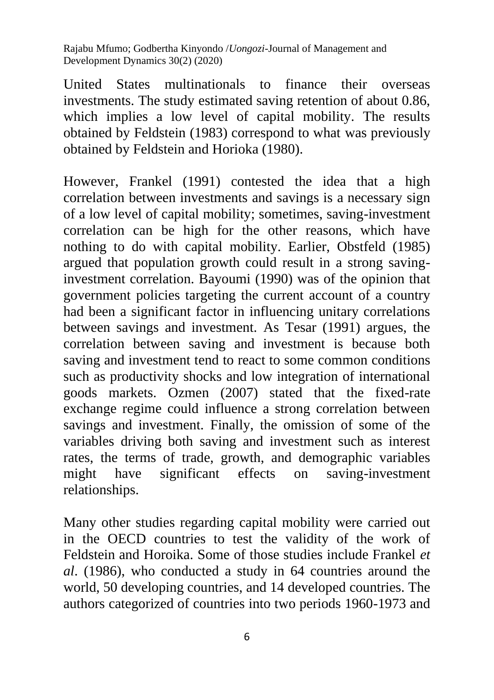United States multinationals to finance their overseas investments. The study estimated saving retention of about 0.86, which implies a low level of capital mobility. The results obtained by Feldstein (1983) correspond to what was previously obtained by Feldstein and Horioka (1980).

However, Frankel (1991) contested the idea that a high correlation between investments and savings is a necessary sign of a low level of capital mobility; sometimes, saving-investment correlation can be high for the other reasons, which have nothing to do with capital mobility. Earlier, Obstfeld (1985) argued that population growth could result in a strong savinginvestment correlation. Bayoumi (1990) was of the opinion that government policies targeting the current account of a country had been a significant factor in influencing unitary correlations between savings and investment. As Tesar (1991) argues, the correlation between saving and investment is because both saving and investment tend to react to some common conditions such as productivity shocks and low integration of international goods markets. Ozmen (2007) stated that the fixed-rate exchange regime could influence a strong correlation between savings and investment. Finally, the omission of some of the variables driving both saving and investment such as interest rates, the terms of trade, growth, and demographic variables might have significant effects on saving-investment relationships.

Many other studies regarding capital mobility were carried out in the OECD countries to test the validity of the work of Feldstein and Horoika. Some of those studies include Frankel *et al*. (1986), who conducted a study in 64 countries around the world, 50 developing countries, and 14 developed countries. The authors categorized of countries into two periods 1960-1973 and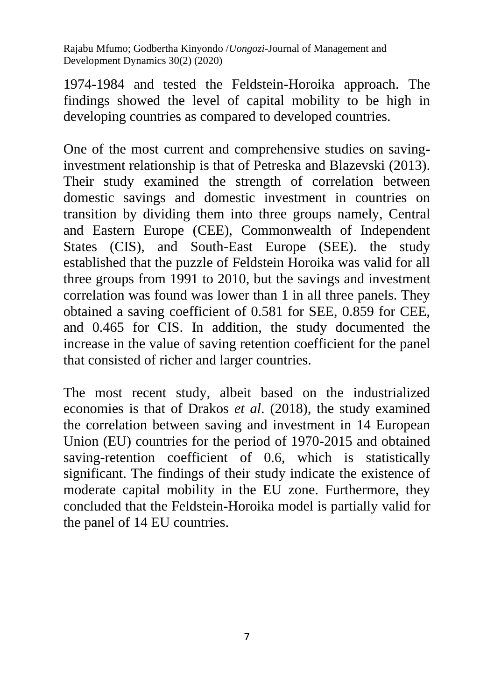1974-1984 and tested the Feldstein-Horoika approach. The findings showed the level of capital mobility to be high in developing countries as compared to developed countries.

One of the most current and comprehensive studies on savinginvestment relationship is that of Petreska and Blazevski (2013). Their study examined the strength of correlation between domestic savings and domestic investment in countries on transition by dividing them into three groups namely, Central and Eastern Europe (CEE), Commonwealth of Independent States (CIS), and South-East Europe (SEE). the study established that the puzzle of Feldstein Horoika was valid for all three groups from 1991 to 2010, but the savings and investment correlation was found was lower than 1 in all three panels. They obtained a saving coefficient of 0.581 for SEE, 0.859 for CEE, and 0.465 for CIS. In addition, the study documented the increase in the value of saving retention coefficient for the panel that consisted of richer and larger countries.

The most recent study, albeit based on the industrialized economies is that of Drakos *et al*. (2018), the study examined the correlation between saving and investment in 14 European Union (EU) countries for the period of 1970-2015 and obtained saving-retention coefficient of 0.6, which is statistically significant. The findings of their study indicate the existence of moderate capital mobility in the EU zone. Furthermore, they concluded that the Feldstein-Horoika model is partially valid for the panel of 14 EU countries.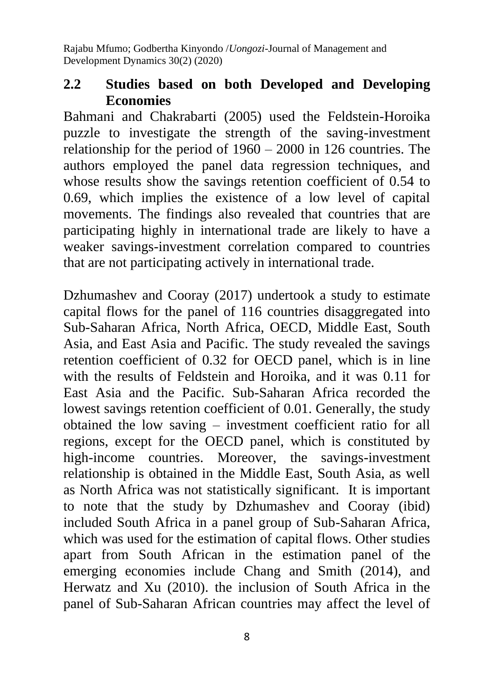## **2.2 Studies based on both Developed and Developing Economies**

Bahmani and Chakrabarti (2005) used the Feldstein-Horoika puzzle to investigate the strength of the saving-investment relationship for the period of 1960 – 2000 in 126 countries. The authors employed the panel data regression techniques, and whose results show the savings retention coefficient of 0.54 to 0.69, which implies the existence of a low level of capital movements. The findings also revealed that countries that are participating highly in international trade are likely to have a weaker savings-investment correlation compared to countries that are not participating actively in international trade.

Dzhumashev and Cooray (2017) undertook a study to estimate capital flows for the panel of 116 countries disaggregated into Sub-Saharan Africa, North Africa, OECD, Middle East, South Asia, and East Asia and Pacific. The study revealed the savings retention coefficient of 0.32 for OECD panel, which is in line with the results of Feldstein and Horoika, and it was 0.11 for East Asia and the Pacific. Sub-Saharan Africa recorded the lowest savings retention coefficient of 0.01. Generally, the study obtained the low saving – investment coefficient ratio for all regions, except for the OECD panel, which is constituted by high-income countries. Moreover, the savings-investment relationship is obtained in the Middle East, South Asia, as well as North Africa was not statistically significant. It is important to note that the study by Dzhumashev and Cooray (ibid) included South Africa in a panel group of Sub-Saharan Africa, which was used for the estimation of capital flows. Other studies apart from South African in the estimation panel of the emerging economies include Chang and Smith (2014), and Herwatz and Xu (2010). the inclusion of South Africa in the panel of Sub-Saharan African countries may affect the level of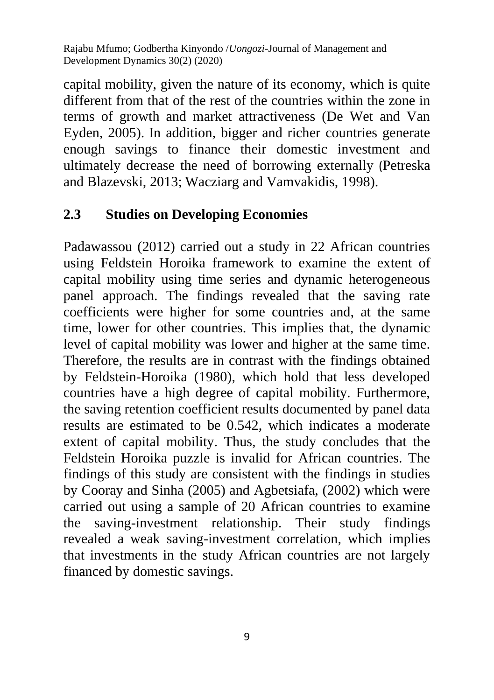capital mobility, given the nature of its economy, which is quite different from that of the rest of the countries within the zone in terms of growth and market attractiveness (De Wet and Van Eyden, 2005). In addition, bigger and richer countries generate enough savings to finance their domestic investment and ultimately decrease the need of borrowing externally (Petreska and Blazevski, 2013; Wacziarg and Vamvakidis, 1998).

## **2.3 Studies on Developing Economies**

Padawassou (2012) carried out a study in 22 African countries using Feldstein Horoika framework to examine the extent of capital mobility using time series and dynamic heterogeneous panel approach. The findings revealed that the saving rate coefficients were higher for some countries and, at the same time, lower for other countries. This implies that, the dynamic level of capital mobility was lower and higher at the same time. Therefore, the results are in contrast with the findings obtained by Feldstein-Horoika (1980), which hold that less developed countries have a high degree of capital mobility. Furthermore, the saving retention coefficient results documented by panel data results are estimated to be 0.542, which indicates a moderate extent of capital mobility. Thus, the study concludes that the Feldstein Horoika puzzle is invalid for African countries. The findings of this study are consistent with the findings in studies by Cooray and Sinha (2005) and Agbetsiafa, (2002) which were carried out using a sample of 20 African countries to examine the saving-investment relationship. Their study findings revealed a weak saving-investment correlation, which implies that investments in the study African countries are not largely financed by domestic savings.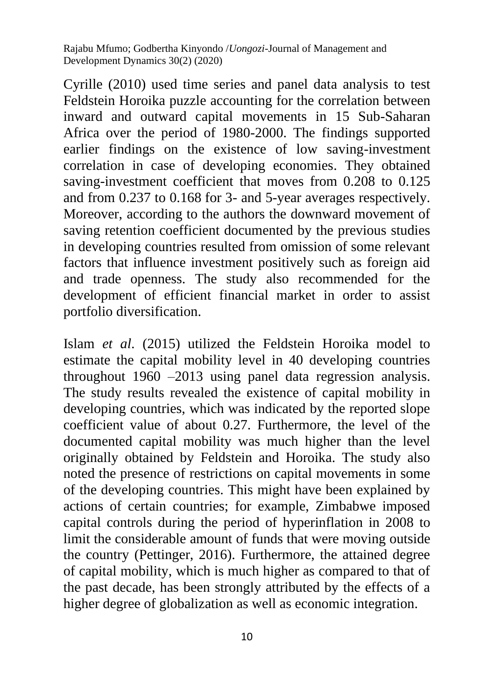Cyrille (2010) used time series and panel data analysis to test Feldstein Horoika puzzle accounting for the correlation between inward and outward capital movements in 15 Sub-Saharan Africa over the period of 1980-2000. The findings supported earlier findings on the existence of low saving-investment correlation in case of developing economies. They obtained saving-investment coefficient that moves from 0.208 to 0.125 and from 0.237 to 0.168 for 3- and 5-year averages respectively. Moreover, according to the authors the downward movement of saving retention coefficient documented by the previous studies in developing countries resulted from omission of some relevant factors that influence investment positively such as foreign aid and trade openness. The study also recommended for the development of efficient financial market in order to assist portfolio diversification.

Islam *et al*. (2015) utilized the Feldstein Horoika model to estimate the capital mobility level in 40 developing countries throughout 1960 –2013 using panel data regression analysis. The study results revealed the existence of capital mobility in developing countries, which was indicated by the reported slope coefficient value of about 0.27. Furthermore, the level of the documented capital mobility was much higher than the level originally obtained by Feldstein and Horoika. The study also noted the presence of restrictions on capital movements in some of the developing countries. This might have been explained by actions of certain countries; for example, Zimbabwe imposed capital controls during the period of hyperinflation in 2008 to limit the considerable amount of funds that were moving outside the country (Pettinger, 2016). Furthermore, the attained degree of capital mobility, which is much higher as compared to that of the past decade, has been strongly attributed by the effects of a higher degree of globalization as well as economic integration.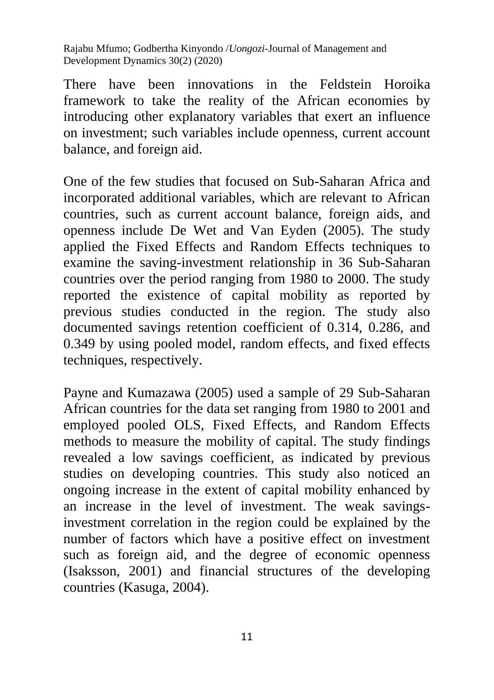There have been innovations in the Feldstein Horoika framework to take the reality of the African economies by introducing other explanatory variables that exert an influence on investment; such variables include openness, current account balance, and foreign aid.

One of the few studies that focused on Sub-Saharan Africa and incorporated additional variables, which are relevant to African countries, such as current account balance, foreign aids, and openness include De Wet and Van Eyden (2005). The study applied the Fixed Effects and Random Effects techniques to examine the saving-investment relationship in 36 Sub-Saharan countries over the period ranging from 1980 to 2000. The study reported the existence of capital mobility as reported by previous studies conducted in the region. The study also documented savings retention coefficient of 0.314, 0.286, and 0.349 by using pooled model, random effects, and fixed effects techniques, respectively.

Payne and Kumazawa (2005) used a sample of 29 Sub-Saharan African countries for the data set ranging from 1980 to 2001 and employed pooled OLS, Fixed Effects, and Random Effects methods to measure the mobility of capital. The study findings revealed a low savings coefficient, as indicated by previous studies on developing countries. This study also noticed an ongoing increase in the extent of capital mobility enhanced by an increase in the level of investment. The weak savingsinvestment correlation in the region could be explained by the number of factors which have a positive effect on investment such as foreign aid, and the degree of economic openness (Isaksson, 2001) and financial structures of the developing countries (Kasuga, 2004).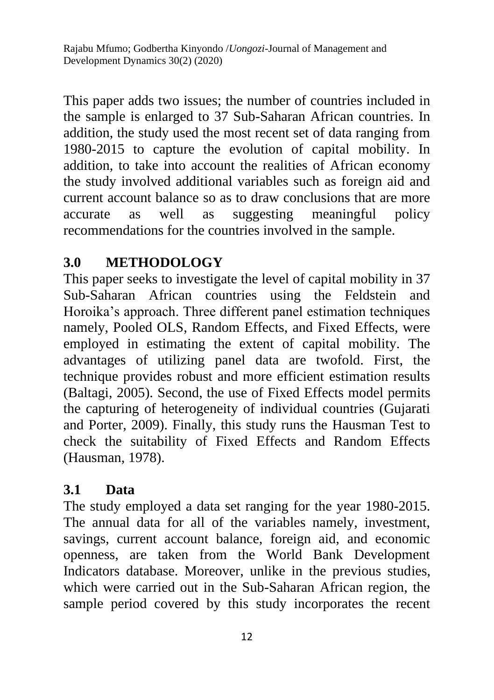This paper adds two issues; the number of countries included in the sample is enlarged to 37 Sub-Saharan African countries. In addition, the study used the most recent set of data ranging from 1980-2015 to capture the evolution of capital mobility. In addition, to take into account the realities of African economy the study involved additional variables such as foreign aid and current account balance so as to draw conclusions that are more accurate as well as suggesting meaningful policy recommendations for the countries involved in the sample.

# **3.0 METHODOLOGY**

This paper seeks to investigate the level of capital mobility in 37 Sub-Saharan African countries using the Feldstein and Horoika's approach. Three different panel estimation techniques namely, Pooled OLS, Random Effects, and Fixed Effects, were employed in estimating the extent of capital mobility. The advantages of utilizing panel data are twofold. First, the technique provides robust and more efficient estimation results (Baltagi, 2005). Second, the use of Fixed Effects model permits the capturing of heterogeneity of individual countries (Gujarati and Porter, 2009). Finally, this study runs the Hausman Test to check the suitability of Fixed Effects and Random Effects (Hausman, 1978).

## **3.1 Data**

The study employed a data set ranging for the year 1980-2015. The annual data for all of the variables namely, investment, savings, current account balance, foreign aid, and economic openness, are taken from the World Bank Development Indicators database. Moreover, unlike in the previous studies, which were carried out in the Sub-Saharan African region, the sample period covered by this study incorporates the recent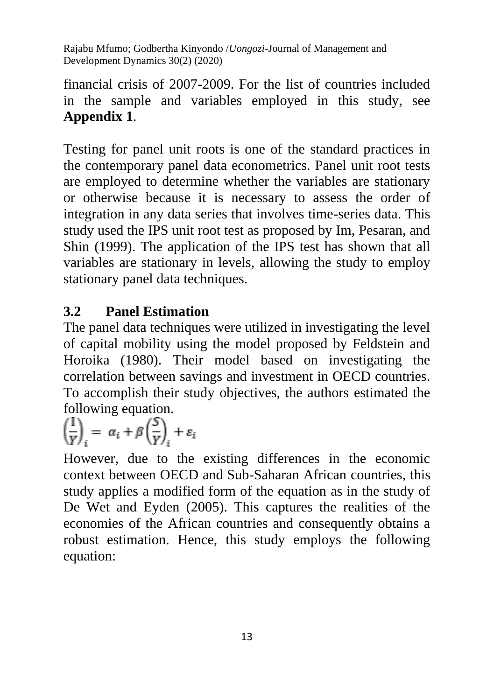financial crisis of 2007-2009. For the list of countries included in the sample and variables employed in this study, see **Appendix 1**.

Testing for panel unit roots is one of the standard practices in the contemporary panel data econometrics. Panel unit root tests are employed to determine whether the variables are stationary or otherwise because it is necessary to assess the order of integration in any data series that involves time-series data. This study used the IPS unit root test as proposed by Im, Pesaran, and Shin (1999). The application of the IPS test has shown that all variables are stationary in levels, allowing the study to employ stationary panel data techniques.

# **3.2 Panel Estimation**

The panel data techniques were utilized in investigating the level of capital mobility using the model proposed by Feldstein and Horoika (1980). Their model based on investigating the correlation between savings and investment in OECD countries. To accomplish their study objectives, the authors estimated the following equation.

$$
\left(\frac{I}{Y}\right)_i = \alpha_i + \beta \left(\frac{S}{Y}\right)_i + \varepsilon_i
$$

However, due to the existing differences in the economic context between OECD and Sub-Saharan African countries, this study applies a modified form of the equation as in the study of De Wet and Eyden (2005). This captures the realities of the economies of the African countries and consequently obtains a robust estimation. Hence, this study employs the following equation: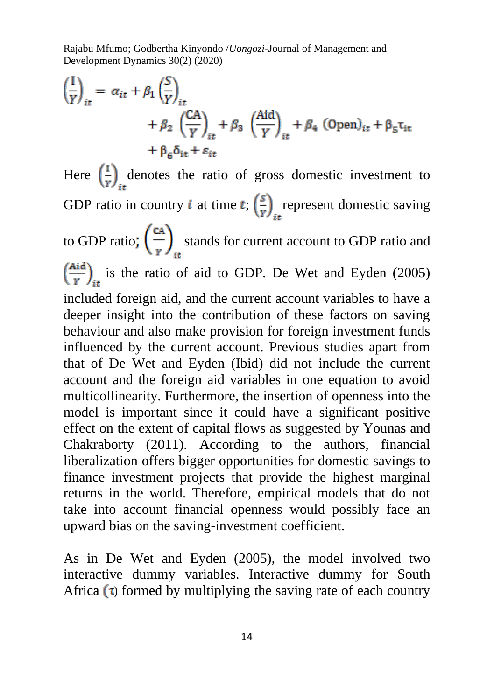$$
\left(\frac{I}{Y}\right)_{it} = \alpha_{it} + \beta_1 \left(\frac{S}{Y}\right)_{it} \n+ \beta_2 \left(\frac{CA}{Y}\right)_{it} + \beta_3 \left(\frac{Aid}{Y}\right)_{it} + \beta_4 (Open)_{it} + \beta_5 \tau_{it} \n+ \beta_6 \delta_{it} + \varepsilon_{it}
$$

Here  $\left(\frac{1}{r}\right)_{i\neq}$  denotes the ratio of gross domestic investment to GDP ratio in country *i* at time  $t$ ;  $\left(\frac{s}{r}\right)$  represent domestic saving to GDP ratio;  $\left(\frac{CA}{v}\right)$  stands for current account to GDP ratio and  $\left(\frac{\text{Aid}}{v}\right)_{\text{in}}$  is the ratio of aid to GDP. De Wet and Eyden (2005) included foreign aid, and the current account variables to have a deeper insight into the contribution of these factors on saving behaviour and also make provision for foreign investment funds influenced by the current account. Previous studies apart from that of De Wet and Eyden (Ibid) did not include the current account and the foreign aid variables in one equation to avoid multicollinearity. Furthermore, the insertion of openness into the model is important since it could have a significant positive effect on the extent of capital flows as suggested by Younas and Chakraborty (2011). According to the authors, financial liberalization offers bigger opportunities for domestic savings to finance investment projects that provide the highest marginal returns in the world. Therefore, empirical models that do not take into account financial openness would possibly face an upward bias on the saving-investment coefficient.

As in De Wet and Eyden (2005), the model involved two interactive dummy variables. Interactive dummy for South Africa  $\left(\tau\right)$  formed by multiplying the saving rate of each country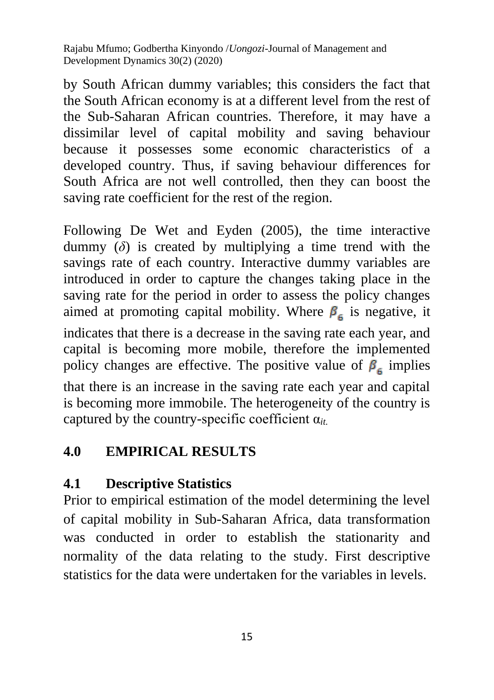by South African dummy variables; this considers the fact that the South African economy is at a different level from the rest of the Sub-Saharan African countries. Therefore, it may have a dissimilar level of capital mobility and saving behaviour because it possesses some economic characteristics of a developed country. Thus, if saving behaviour differences for South Africa are not well controlled, then they can boost the saving rate coefficient for the rest of the region.

Following De Wet and Eyden (2005), the time interactive dummy  $(\delta)$  is created by multiplying a time trend with the savings rate of each country. Interactive dummy variables are introduced in order to capture the changes taking place in the saving rate for the period in order to assess the policy changes aimed at promoting capital mobility. Where  $\beta_6$  is negative, it indicates that there is a decrease in the saving rate each year, and capital is becoming more mobile, therefore the implemented policy changes are effective. The positive value of  $\beta_{\epsilon}$  implies that there is an increase in the saving rate each year and capital is becoming more immobile. The heterogeneity of the country is captured by the country-specific coefficient α*it.*

## **4.0 EMPIRICAL RESULTS**

# **4.1 Descriptive Statistics**

Prior to empirical estimation of the model determining the level of capital mobility in Sub-Saharan Africa, data transformation was conducted in order to establish the stationarity and normality of the data relating to the study. First descriptive statistics for the data were undertaken for the variables in levels.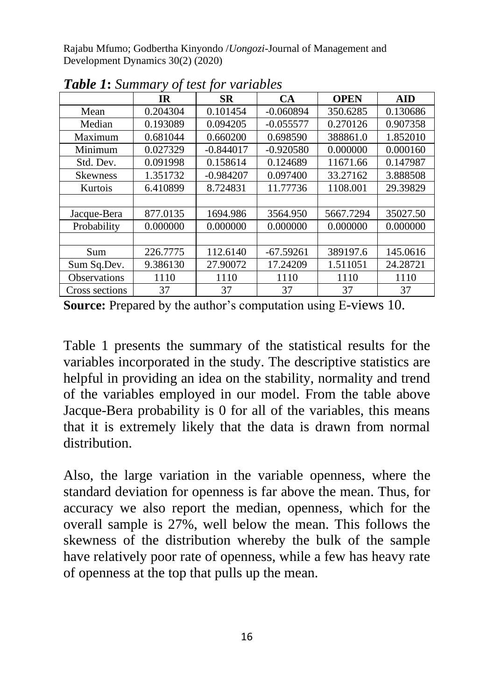|                     | $_{\rm IR}$ | <b>SR</b>   | CA          | <b>OPEN</b> | <b>AID</b> |
|---------------------|-------------|-------------|-------------|-------------|------------|
| Mean                | 0.204304    | 0.101454    | $-0.060894$ | 350.6285    | 0.130686   |
| Median              | 0.193089    | 0.094205    | $-0.055577$ | 0.270126    | 0.907358   |
| Maximum             | 0.681044    | 0.660200    | 0.698590    | 388861.0    | 1.852010   |
| Minimum             | 0.027329    | $-0.844017$ | $-0.920580$ | 0.000000    | 0.000160   |
| Std. Dev.           | 0.091998    | 0.158614    | 0.124689    | 11671.66    | 0.147987   |
| <b>Skewness</b>     | 1.351732    | $-0.984207$ | 0.097400    | 33.27162    | 3.888508   |
| Kurtois             | 6.410899    | 8.724831    | 11.77736    | 1108.001    | 29.39829   |
|                     |             |             |             |             |            |
| Jacque-Bera         | 877.0135    | 1694.986    | 3564.950    | 5667.7294   | 35027.50   |
| Probability         | 0.000000    | 0.000000    | 0.000000    | 0.000000    | 0.000000   |
|                     |             |             |             |             |            |
| Sum                 | 226.7775    | 112.6140    | $-67.59261$ | 389197.6    | 145.0616   |
| Sum Sq.Dev.         | 9.386130    | 27.90072    | 17.24209    | 1.511051    | 24.28721   |
| <b>Observations</b> | 1110        | 1110        | 1110        | 1110        | 1110       |
| Cross sections      | 37          | 37          | 37          | 37          | 37         |

*Table 1***:** *Summary of test for variables*

**Source:** Prepared by the author's computation using E-views 10.

Table 1 presents the summary of the statistical results for the variables incorporated in the study. The descriptive statistics are helpful in providing an idea on the stability, normality and trend of the variables employed in our model. From the table above Jacque-Bera probability is 0 for all of the variables, this means that it is extremely likely that the data is drawn from normal distribution.

Also, the large variation in the variable openness, where the standard deviation for openness is far above the mean. Thus, for accuracy we also report the median, openness, which for the overall sample is 27%, well below the mean. This follows the skewness of the distribution whereby the bulk of the sample have relatively poor rate of openness, while a few has heavy rate of openness at the top that pulls up the mean.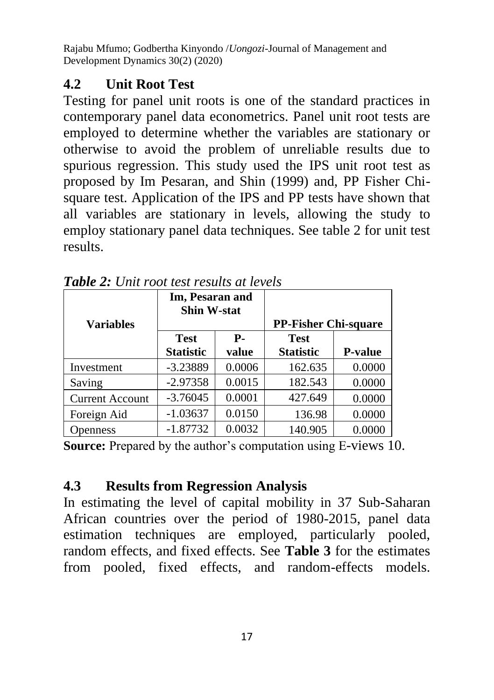# **4.2 Unit Root Test**

Testing for panel unit roots is one of the standard practices in contemporary panel data econometrics. Panel unit root tests are employed to determine whether the variables are stationary or otherwise to avoid the problem of unreliable results due to spurious regression. This study used the IPS unit root test as proposed by Im Pesaran, and Shin (1999) and, PP Fisher Chisquare test. Application of the IPS and PP tests have shown that all variables are stationary in levels, allowing the study to employ stationary panel data techniques. See table 2 for unit test results.

|                        | Im, Pesaran and<br><b>Shin W-stat</b> |            |                             |                |  |
|------------------------|---------------------------------------|------------|-----------------------------|----------------|--|
| <b>Variables</b>       |                                       |            | <b>PP-Fisher Chi-square</b> |                |  |
|                        | <b>Test</b>                           | <b>P</b> - | <b>Test</b>                 |                |  |
|                        | <b>Statistic</b>                      | value      | <b>Statistic</b>            | <b>P-value</b> |  |
| Investment             | $-3.23889$                            | 0.0006     | 162.635                     | 0.0000         |  |
| Saving                 | $-2.97358$                            | 0.0015     | 182.543                     | 0.0000         |  |
| <b>Current Account</b> | $-3.76045$                            | 0.0001     | 427.649                     | 0.0000         |  |
| Foreign Aid            | $-1.03637$                            | 0.0150     | 136.98                      | 0.0000         |  |
| Openness               | $-1.87732$                            | 0.0032     | 140.905                     | 0.0000         |  |

*Table 2: Unit root test results at levels*

**Source:** Prepared by the author's computation using E-views 10.

# **4.3 Results from Regression Analysis**

In estimating the level of capital mobility in 37 Sub-Saharan African countries over the period of 1980-2015, panel data estimation techniques are employed, particularly pooled, random effects, and fixed effects. See **Table 3** for the estimates from pooled, fixed effects, and random-effects models.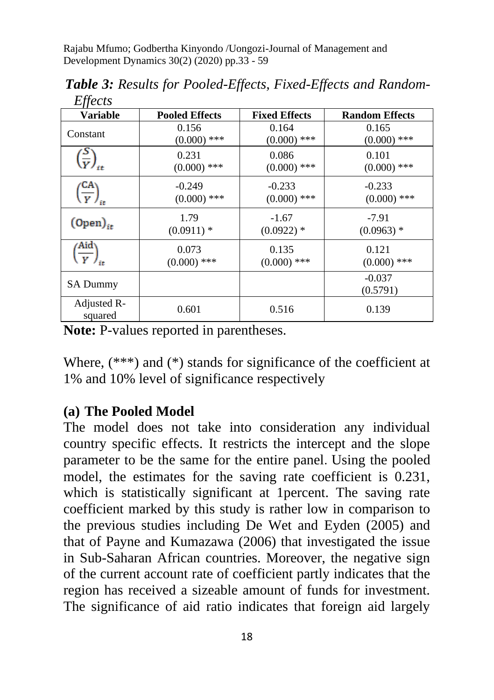| Lijetis                                   |                       |                      |                       |
|-------------------------------------------|-----------------------|----------------------|-----------------------|
| <b>Variable</b>                           | <b>Pooled Effects</b> | <b>Fixed Effects</b> | <b>Random Effects</b> |
| Constant                                  | 0.156                 | 0.164                | 0.165                 |
|                                           | $(0.000)$ ***         | $(0.000)$ ***        | $(0.000)$ ***         |
| $\left(\frac{S}{Y}\right)_{it}$           | 0.231                 | 0.086                | 0.101                 |
|                                           | $(0.000)$ ***         | $(0.000)$ ***        | $(0.000)$ ***         |
| $\left(\frac{\mathsf{CA}}{Y}\right)_{it}$ | $-0.249$              | $-0.233$             | $-0.233$              |
|                                           | $(0.000)$ ***         | $(0.000)$ ***        | $(0.000)$ ***         |
| $(Open)_{it}$                             | 1.79                  | $-1.67$              | $-7.91$               |
|                                           | $(0.0911)$ *          | $(0.0922)$ *         | $(0.0963)$ *          |
| $\left(\frac{\text{Aid}}{Y}\right)_{it}$  | 0.073                 | 0.135                | 0.121                 |
|                                           | $(0.000)$ ***         | $(0.000)$ ***        | $(0.000)$ ***         |
| <b>SA Dummy</b>                           |                       |                      | $-0.037$<br>(0.5791)  |
| Adjusted R-<br>squared                    | 0.601                 | 0.516                | 0.139                 |

 *Table 3: Results for Pooled-Effects, Fixed-Effects and Random-*  $Eff$ <sub>acts</sub>

**Note:** P-values reported in parentheses.

Where,  $(***)$  and  $(*)$  stands for significance of the coefficient at 1% and 10% level of significance respectively

#### **(a) The Pooled Model**

The model does not take into consideration any individual country specific effects. It restricts the intercept and the slope parameter to be the same for the entire panel. Using the pooled model, the estimates for the saving rate coefficient is 0.231, which is statistically significant at 1percent. The saving rate coefficient marked by this study is rather low in comparison to the previous studies including De Wet and Eyden (2005) and that of Payne and Kumazawa (2006) that investigated the issue in Sub-Saharan African countries. Moreover, the negative sign of the current account rate of coefficient partly indicates that the region has received a sizeable amount of funds for investment. The significance of aid ratio indicates that foreign aid largely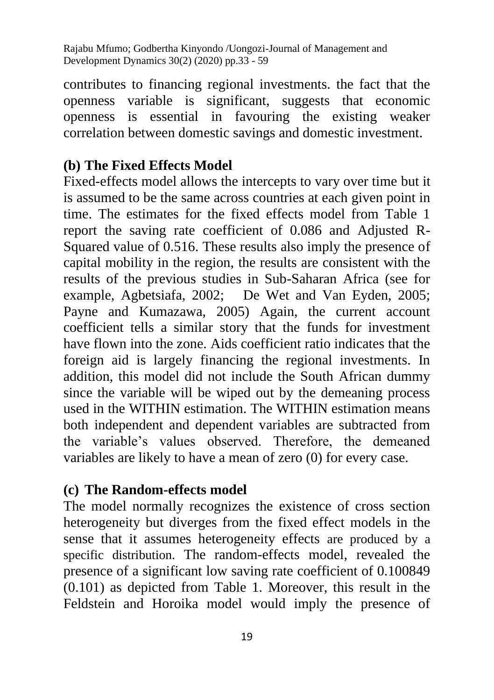contributes to financing regional investments. the fact that the openness variable is significant, suggests that economic openness is essential in favouring the existing weaker correlation between domestic savings and domestic investment.

### **(b) The Fixed Effects Model**

Fixed-effects model allows the intercepts to vary over time but it is assumed to be the same across countries at each given point in time. The estimates for the fixed effects model from Table 1 report the saving rate coefficient of 0.086 and Adjusted R-Squared value of 0.516. These results also imply the presence of capital mobility in the region, the results are consistent with the results of the previous studies in Sub-Saharan Africa (see for example, Agbetsiafa, 2002; De Wet and Van Eyden, 2005; Payne and Kumazawa, 2005) Again, the current account coefficient tells a similar story that the funds for investment have flown into the zone. Aids coefficient ratio indicates that the foreign aid is largely financing the regional investments. In addition, this model did not include the South African dummy since the variable will be wiped out by the demeaning process used in the WITHIN estimation. The WITHIN estimation means both independent and dependent variables are subtracted from the variable's values observed. Therefore, the demeaned variables are likely to have a mean of zero (0) for every case.

### **(c) The Random-effects model**

The model normally recognizes the existence of cross section heterogeneity but diverges from the fixed effect models in the sense that it assumes heterogeneity effects are produced by a specific distribution. The random-effects model, revealed the presence of a significant low saving rate coefficient of 0.100849 (0.101) as depicted from Table 1. Moreover, this result in the Feldstein and Horoika model would imply the presence of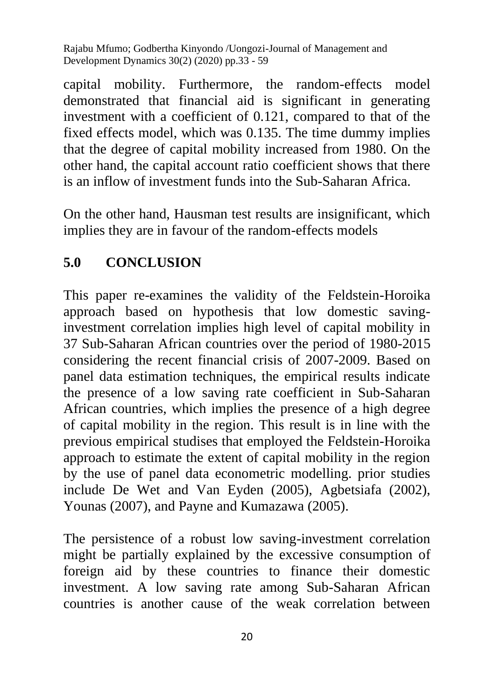capital mobility. Furthermore, the random-effects model demonstrated that financial aid is significant in generating investment with a coefficient of 0.121, compared to that of the fixed effects model, which was 0.135. The time dummy implies that the degree of capital mobility increased from 1980. On the other hand, the capital account ratio coefficient shows that there is an inflow of investment funds into the Sub-Saharan Africa.

On the other hand, Hausman test results are insignificant, which implies they are in favour of the random-effects models

## **5.0 CONCLUSION**

This paper re-examines the validity of the Feldstein-Horoika approach based on hypothesis that low domestic savinginvestment correlation implies high level of capital mobility in 37 Sub-Saharan African countries over the period of 1980-2015 considering the recent financial crisis of 2007-2009. Based on panel data estimation techniques, the empirical results indicate the presence of a low saving rate coefficient in Sub-Saharan African countries, which implies the presence of a high degree of capital mobility in the region. This result is in line with the previous empirical studises that employed the Feldstein-Horoika approach to estimate the extent of capital mobility in the region by the use of panel data econometric modelling. prior studies include De Wet and Van Eyden (2005), Agbetsiafa (2002), Younas (2007), and Payne and Kumazawa (2005).

The persistence of a robust low saving-investment correlation might be partially explained by the excessive consumption of foreign aid by these countries to finance their domestic investment. A low saving rate among Sub-Saharan African countries is another cause of the weak correlation between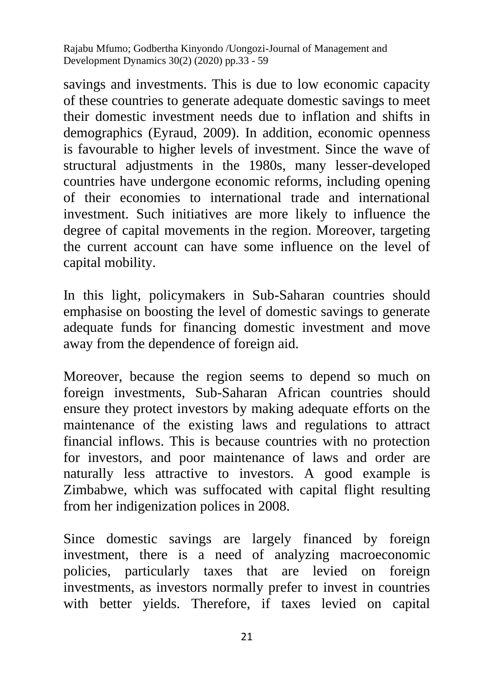savings and investments. This is due to low economic capacity of these countries to generate adequate domestic savings to meet their domestic investment needs due to inflation and shifts in demographics (Eyraud, 2009). In addition, economic openness is favourable to higher levels of investment. Since the wave of structural adjustments in the 1980s, many lesser-developed countries have undergone economic reforms, including opening of their economies to international trade and international investment. Such initiatives are more likely to influence the degree of capital movements in the region. Moreover, targeting the current account can have some influence on the level of capital mobility.

In this light, policymakers in Sub-Saharan countries should emphasise on boosting the level of domestic savings to generate adequate funds for financing domestic investment and move away from the dependence of foreign aid.

Moreover, because the region seems to depend so much on foreign investments, Sub-Saharan African countries should ensure they protect investors by making adequate efforts on the maintenance of the existing laws and regulations to attract financial inflows. This is because countries with no protection for investors, and poor maintenance of laws and order are naturally less attractive to investors. A good example is Zimbabwe, which was suffocated with capital flight resulting from her indigenization polices in 2008.

Since domestic savings are largely financed by foreign investment, there is a need of analyzing macroeconomic policies, particularly taxes that are levied on foreign investments, as investors normally prefer to invest in countries with better yields. Therefore, if taxes levied on capital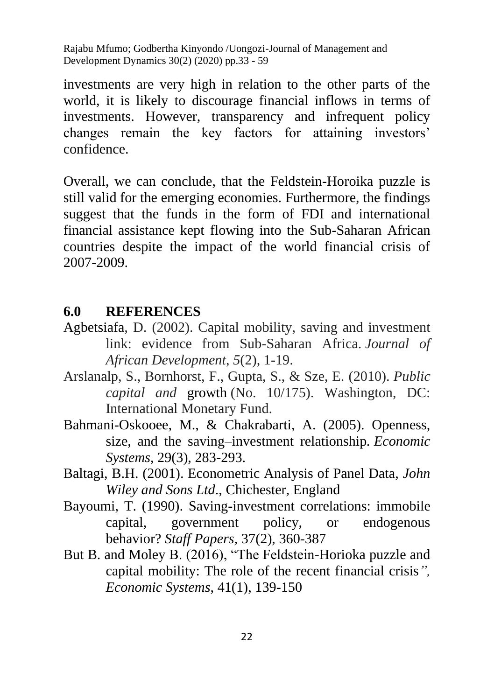investments are very high in relation to the other parts of the world, it is likely to discourage financial inflows in terms of investments. However, transparency and infrequent policy changes remain the key factors for attaining investors' confidence.

Overall, we can conclude, that the Feldstein-Horoika puzzle is still valid for the emerging economies. Furthermore, the findings suggest that the funds in the form of FDI and international financial assistance kept flowing into the Sub-Saharan African countries despite the impact of the world financial crisis of 2007-2009.

### **6.0 REFERENCES**

- Agbetsiafa, D. (2002). Capital mobility, saving and investment link: evidence from Sub-Saharan Africa. *Journal of African Development*, *5*(2), 1-19.
- Arslanalp, S., Bornhorst, F., Gupta, S., & Sze, E. (2010). *Public capital and* growth (No. 10/175). Washington, DC: International Monetary Fund.
- Bahmani-Oskooee, M., & Chakrabarti, A. (2005). Openness, size, and the saving–investment relationship*. Economic Systems*, 29(3), 283-293.
- Baltagi, B.H. (2001). Econometric Analysis of Panel Data, *John Wiley and Sons Ltd*., Chichester, England
- Bayoumi, T. (1990). Saving-investment correlations: immobile capital, government policy, or endogenous behavior? *Staff Papers,* 37(2), 360-387
- But B. and Moley B. (2016), "The Feldstein-Horioka puzzle and capital mobility: The role of the recent financial crisis*", Economic Systems*, 41(1), 139-150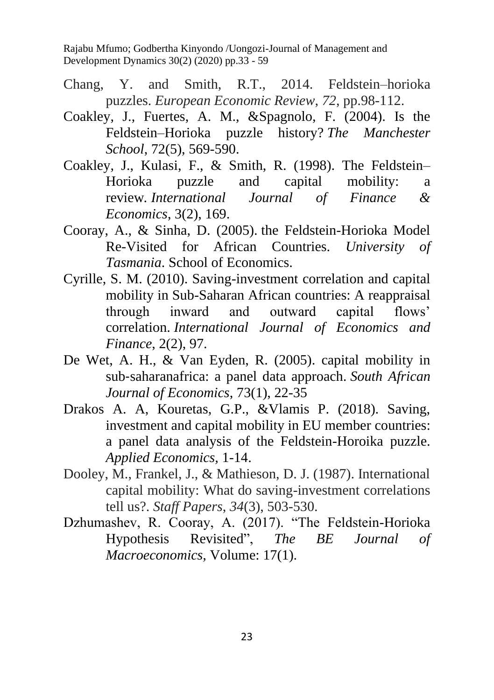- Chang, Y. and Smith, R.T., 2014. Feldstein–horioka puzzles. *European Economic Review*, *72*, pp.98-112.
- Coakley, J., Fuertes, A. M., &Spagnolo, F. (2004). Is the Feldstein–Horioka puzzle history? *The Manchester School*, 72(5), 569-590.
- Coakley, J., Kulasi, F., & Smith, R. (1998). The Feldstein– Horioka puzzle and capital mobility: a review*. International Journal of Finance & Economics*, 3(2), 169.
- Cooray, A., & Sinha, D. (2005). the Feldstein-Horioka Model Re-Visited for African Countries. *University of Tasmania*. School of Economics.
- Cyrille, S. M. (2010). Saving-investment correlation and capital mobility in Sub-Saharan African countries: A reappraisal through inward and outward capital flows' correlation. *International Journal of Economics and Finance*, 2(2), 97.
- De Wet, A. H., & Van Eyden, R. (2005). capital mobility in sub‐saharanafrica: a panel data approach. *South African Journal of Economics*, 73(1), 22-35
- Drakos A. A, Kouretas, G.P., &Vlamis P. (2018). Saving, investment and capital mobility in EU member countries: a panel data analysis of the Feldstein-Horoika puzzle. *Applied Economics,* 1-14.
- Dooley, M., Frankel, J., & Mathieson, D. J. (1987). International capital mobility: What do saving-investment correlations tell us?. *Staff Papers*, *34*(3), 503-530.
- Dzhumashev, R. Cooray, A. (2017). "The Feldstein-Horioka Hypothesis Revisited", *The BE Journal of Macroeconomics,* Volume: 17(1).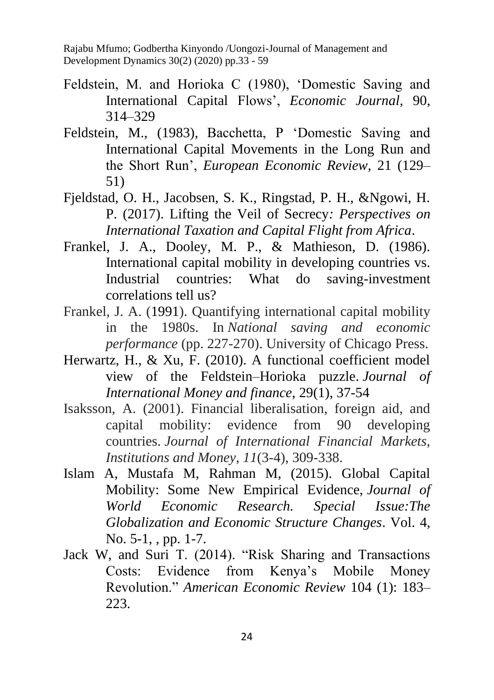- Feldstein, M. and Horioka C (1980), 'Domestic Saving and International Capital Flows', *Economic Journal*, 90, 314–329
- Feldstein, M., (1983), Bacchetta, P 'Domestic Saving and International Capital Movements in the Long Run and the Short Run', *European Economic Review*, 21 (129– 51)
- Fjeldstad, O. H., Jacobsen, S. K., Ringstad, P. H., &Ngowi, H. P. (2017). Lifting the Veil of Secrecy*: Perspectives on International Taxation and Capital Flight from Africa*.
- Frankel, J. A., Dooley, M. P., & Mathieson, D. (1986). International capital mobility in developing countries vs. Industrial countries: What do saving-investment correlations tell us?
- Frankel, J. A. (1991). Quantifying international capital mobility in the 1980s. In *National saving and economic performance* (pp. 227-270). University of Chicago Press.
- Herwartz, H., & Xu, F. (2010). A functional coefficient model view of the Feldstein–Horioka puzzle. *Journal of International Money and finance*, 29(1), 37-54
- Isaksson, A. (2001). Financial liberalisation, foreign aid, and capital mobility: evidence from 90 developing countries. *Journal of International Financial Markets, Institutions and Money*, *11*(3-4), 309-338.
- Islam A, Mustafa M, Rahman M, (2015). Global Capital Mobility: Some New Empirical Evidence, *Journal of World Economic Research. Special Issue:The Globalization and Economic Structure Changes*. Vol. 4, No. 5-1, , pp. 1-7.
- Jack W, and Suri T. (2014). "Risk Sharing and Transactions Costs: Evidence from Kenya's Mobile Money Revolution." *American Economic Review* 104 (1): 183– 223.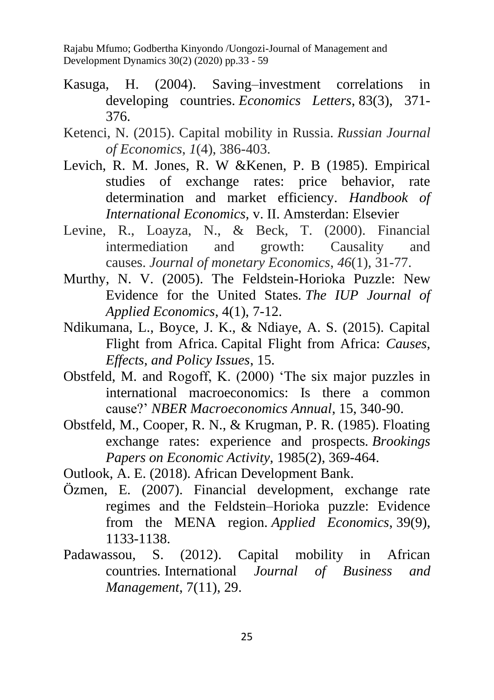- Kasuga, H. (2004). Saving–investment correlations in developing countries. *Economics Letters*, 83(3), 371- 376.
- Ketenci, N. (2015). Capital mobility in Russia. *Russian Journal of Economics*, *1*(4), 386-403.
- Levich, R. M. Jones, R. W &Kenen, P. B (1985). Empirical studies of exchange rates: price behavior, rate determination and market efficiency. *Handbook of International Economics,* v. II. Amsterdan: Elsevier
- Levine, R., Loayza, N., & Beck, T. (2000). Financial intermediation and growth: Causality and causes. *Journal of monetary Economics*, *46*(1), 31-77.
- Murthy, N. V. (2005). The Feldstein-Horioka Puzzle: New Evidence for the United States*. The IUP Journal of Applied Economics*, 4(1), 7-12.
- Ndikumana, L., Boyce, J. K., & Ndiaye, A. S. (2015). Capital Flight from Africa. Capital Flight from Africa: *Causes, Effects, and Policy Issues*, 15.
- Obstfeld, M. and Rogoff, K. (2000) 'The six major puzzles in international macroeconomics: Is there a common cause?' *NBER Macroeconomics Annual*, 15, 340-90.
- Obstfeld, M., Cooper, R. N., & Krugman, P. R. (1985). Floating exchange rates: experience and prospects*. Brookings Papers on Economic Activity*, 1985(2), 369-464.

Outlook, A. E. (2018). African Development Bank.

- Özmen, E. (2007). Financial development, exchange rate regimes and the Feldstein–Horioka puzzle: Evidence from the MENA region. *Applied Economics*, 39(9), 1133-1138.
- Padawassou, S. (2012). Capital mobility in African countries*.* International *Journal of Business and Management*, 7(11), 29.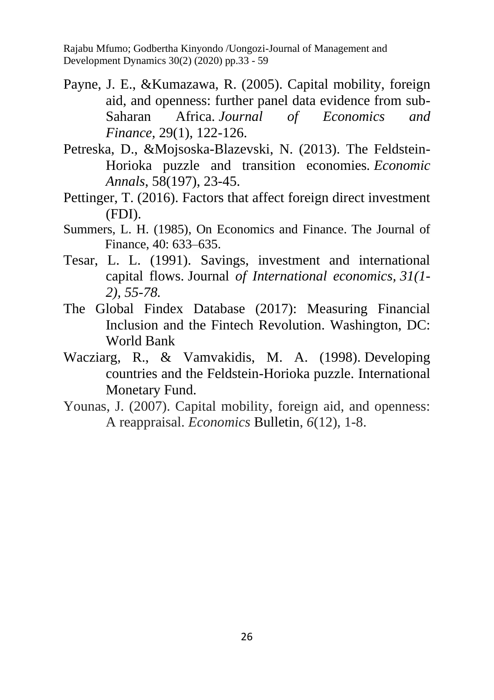- Payne, J. E., &Kumazawa, R. (2005). Capital mobility, foreign aid, and openness: further panel data evidence from sub-Saharan Africa. *Journal of Economics and Finance,* 29(1), 122-126.
- Petreska, D., &Mojsoska-Blazevski, N. (2013). The Feldstein-Horioka puzzle and transition economies*. Economic Annals*, 58(197), 23-45.
- Pettinger, T. (2016). Factors that affect foreign direct investment (FDI).
- Summers, L. H. (1985), On Economics and Finance. The Journal of Finance, 40: 633–635.
- Tesar, L. L. (1991). Savings, investment and international capital flows. Journal *of International economics, 31(1- 2), 55-78.*
- The Global Findex Database (2017): Measuring Financial Inclusion and the Fintech Revolution. Washington, DC: World Bank
- Wacziarg, R., & Vamvakidis, M. A. (1998). Developing countries and the Feldstein-Horioka puzzle. International Monetary Fund.
- Younas, J. (2007). Capital mobility, foreign aid, and openness: A reappraisal. *Economics* Bulletin, *6*(12), 1-8.